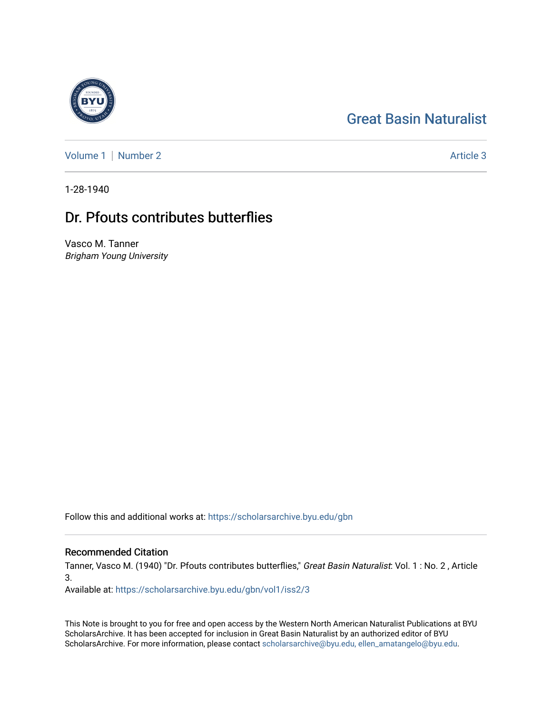# [Great Basin Naturalist](https://scholarsarchive.byu.edu/gbn)

[Volume 1](https://scholarsarchive.byu.edu/gbn/vol1) | [Number 2](https://scholarsarchive.byu.edu/gbn/vol1/iss2) Article 3

1-28-1940

## Dr. Pfouts contributes butterflies

Vasco M. Tanner Brigham Young University

Follow this and additional works at: [https://scholarsarchive.byu.edu/gbn](https://scholarsarchive.byu.edu/gbn?utm_source=scholarsarchive.byu.edu%2Fgbn%2Fvol1%2Fiss2%2F3&utm_medium=PDF&utm_campaign=PDFCoverPages) 

### Recommended Citation

Tanner, Vasco M. (1940) "Dr. Pfouts contributes butterflies," Great Basin Naturalist: Vol. 1 : No. 2 , Article 3.

Available at: [https://scholarsarchive.byu.edu/gbn/vol1/iss2/3](https://scholarsarchive.byu.edu/gbn/vol1/iss2/3?utm_source=scholarsarchive.byu.edu%2Fgbn%2Fvol1%2Fiss2%2F3&utm_medium=PDF&utm_campaign=PDFCoverPages) 

This Note is brought to you for free and open access by the Western North American Naturalist Publications at BYU ScholarsArchive. It has been accepted for inclusion in Great Basin Naturalist by an authorized editor of BYU ScholarsArchive. For more information, please contact [scholarsarchive@byu.edu, ellen\\_amatangelo@byu.edu.](mailto:scholarsarchive@byu.edu,%20ellen_amatangelo@byu.edu)